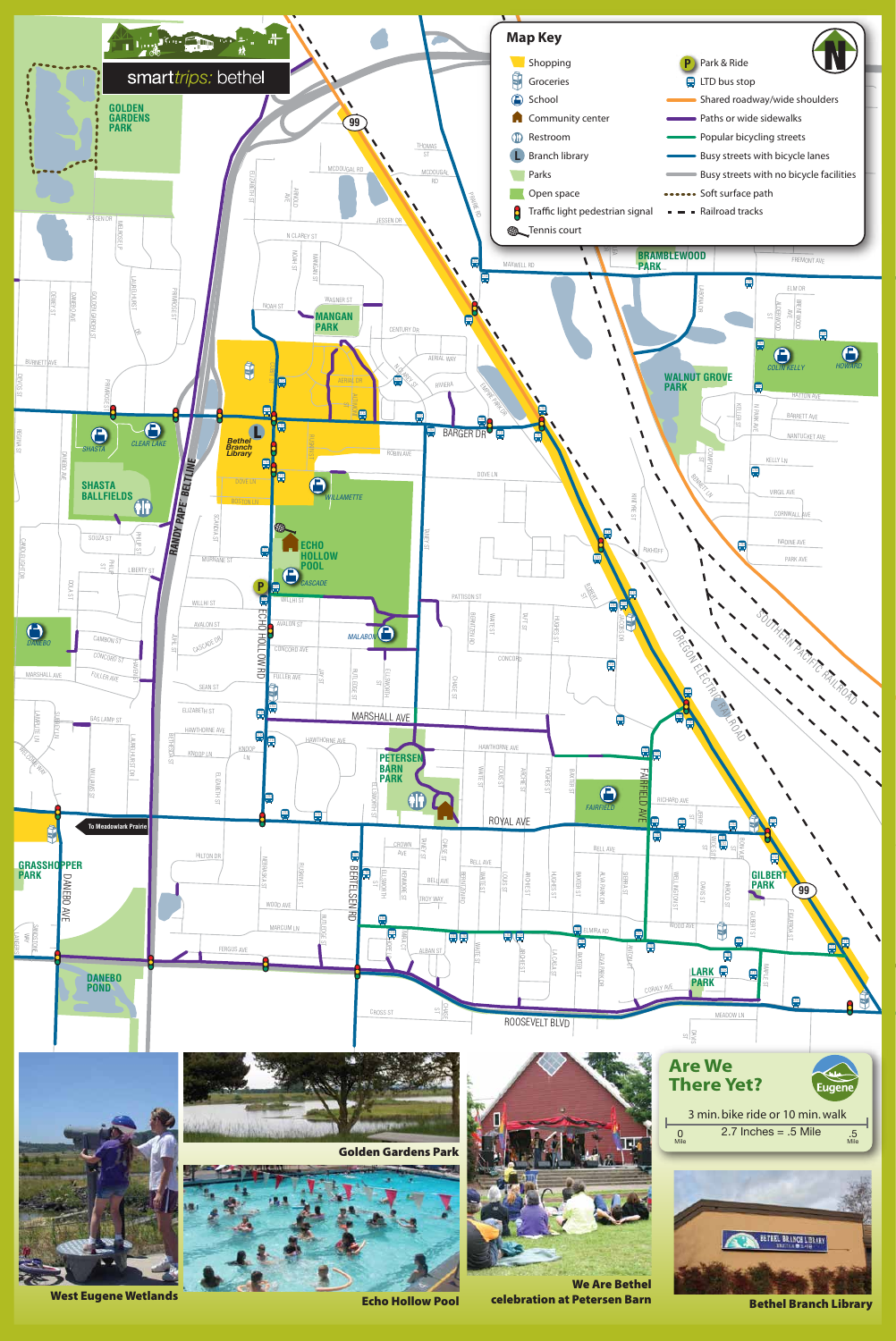Echo Hollow Pool



Bethel Branch Library